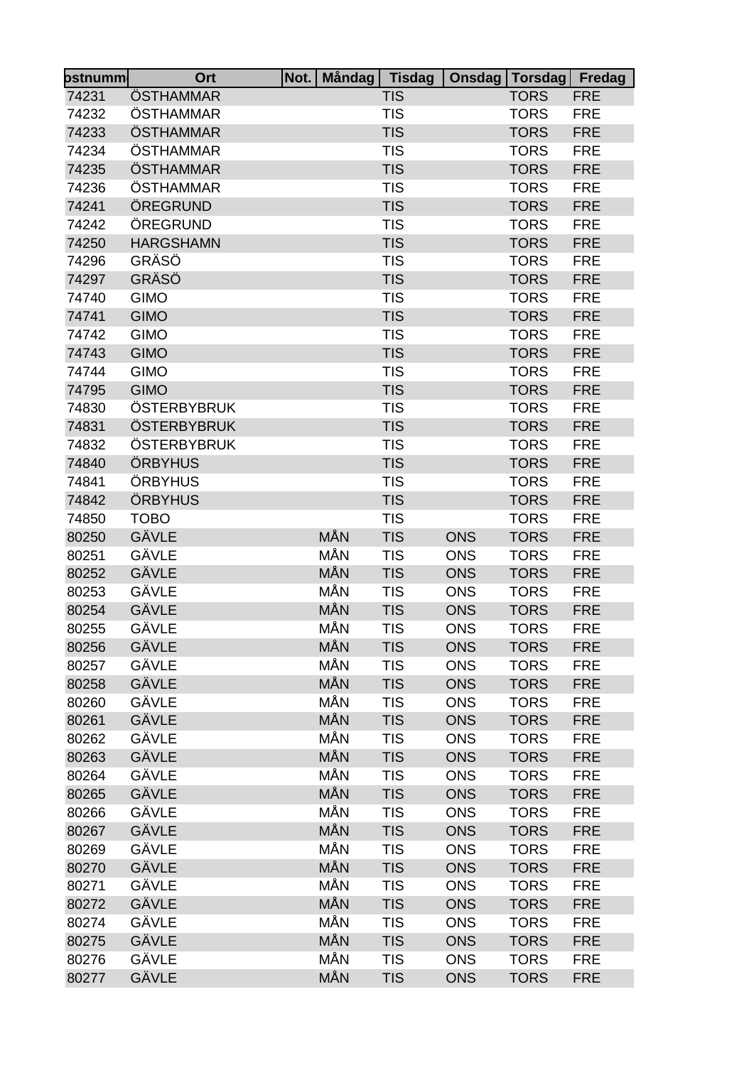| ostnumm∣ | Ort              | Not.   Måndag | <b>Tisdag</b> | Onsdag     | Torsdag Fredag |            |
|----------|------------------|---------------|---------------|------------|----------------|------------|
| 74231    | ÖSTHAMMAR        |               | <b>TIS</b>    |            | <b>TORS</b>    | <b>FRE</b> |
| 74232    | ÖSTHAMMAR        |               | <b>TIS</b>    |            | <b>TORS</b>    | <b>FRE</b> |
| 74233    | ÖSTHAMMAR        |               | <b>TIS</b>    |            | <b>TORS</b>    | <b>FRE</b> |
| 74234    | ÖSTHAMMAR        |               | <b>TIS</b>    |            | <b>TORS</b>    | <b>FRE</b> |
| 74235    | ÖSTHAMMAR        |               | <b>TIS</b>    |            | <b>TORS</b>    | <b>FRE</b> |
| 74236    | ÖSTHAMMAR        |               | <b>TIS</b>    |            | <b>TORS</b>    | <b>FRE</b> |
| 74241    | ÖREGRUND         |               | <b>TIS</b>    |            | <b>TORS</b>    | <b>FRE</b> |
| 74242    | ÖREGRUND         |               | <b>TIS</b>    |            | <b>TORS</b>    | <b>FRE</b> |
| 74250    | <b>HARGSHAMN</b> |               | <b>TIS</b>    |            | <b>TORS</b>    | <b>FRE</b> |
| 74296    | GRÄSÖ            |               | <b>TIS</b>    |            | <b>TORS</b>    | <b>FRE</b> |
| 74297    | GRÄSÖ            |               | <b>TIS</b>    |            | <b>TORS</b>    | <b>FRE</b> |
| 74740    | <b>GIMO</b>      |               | <b>TIS</b>    |            | <b>TORS</b>    | <b>FRE</b> |
| 74741    | <b>GIMO</b>      |               | <b>TIS</b>    |            | <b>TORS</b>    | <b>FRE</b> |
| 74742    | <b>GIMO</b>      |               | <b>TIS</b>    |            | <b>TORS</b>    | <b>FRE</b> |
| 74743    | <b>GIMO</b>      |               | <b>TIS</b>    |            | <b>TORS</b>    | <b>FRE</b> |
| 74744    | <b>GIMO</b>      |               | <b>TIS</b>    |            | <b>TORS</b>    | <b>FRE</b> |
| 74795    | <b>GIMO</b>      |               | <b>TIS</b>    |            | <b>TORS</b>    | <b>FRE</b> |
| 74830    | ÖSTERBYBRUK      |               | <b>TIS</b>    |            | <b>TORS</b>    | <b>FRE</b> |
| 74831    | ÖSTERBYBRUK      |               | <b>TIS</b>    |            | <b>TORS</b>    | <b>FRE</b> |
| 74832    | ÖSTERBYBRUK      |               | <b>TIS</b>    |            | <b>TORS</b>    | <b>FRE</b> |
| 74840    | ÖRBYHUS          |               | <b>TIS</b>    |            | <b>TORS</b>    | <b>FRE</b> |
| 74841    | ÖRBYHUS          |               | <b>TIS</b>    |            | <b>TORS</b>    | <b>FRE</b> |
| 74842    | ÖRBYHUS          |               | <b>TIS</b>    |            | <b>TORS</b>    | <b>FRE</b> |
| 74850    | <b>TOBO</b>      |               | <b>TIS</b>    |            | <b>TORS</b>    | <b>FRE</b> |
| 80250    | GÄVLE            | MÅN           | <b>TIS</b>    | <b>ONS</b> | <b>TORS</b>    | <b>FRE</b> |
| 80251    | GÄVLE            | MÅN           | <b>TIS</b>    | <b>ONS</b> | <b>TORS</b>    | <b>FRE</b> |
| 80252    | GÄVLE            | MÅN           | <b>TIS</b>    | <b>ONS</b> | <b>TORS</b>    | <b>FRE</b> |
| 80253    | GÄVLE            | MÅN           | <b>TIS</b>    | <b>ONS</b> | <b>TORS</b>    | <b>FRE</b> |
| 80254    | GÄVLE            | MÅN           | <b>TIS</b>    | <b>ONS</b> | <b>TORS</b>    | <b>FRE</b> |
| 80255    | GÄVLE            | MÅN           | <b>TIS</b>    | <b>ONS</b> | <b>TORS</b>    | <b>FRE</b> |
| 80256    | GÄVLE            | MÅN           | <b>TIS</b>    | <b>ONS</b> | <b>TORS</b>    | <b>FRE</b> |
| 80257    | GÄVLE            | MÅN           | <b>TIS</b>    | <b>ONS</b> | <b>TORS</b>    | <b>FRE</b> |
| 80258    | GÄVLE            | MÅN           | <b>TIS</b>    | <b>ONS</b> | <b>TORS</b>    | <b>FRE</b> |
| 80260    | GÄVLE            | MÅN           | <b>TIS</b>    | <b>ONS</b> | <b>TORS</b>    | <b>FRE</b> |
| 80261    | <b>GÄVLE</b>     | MÅN           | <b>TIS</b>    | <b>ONS</b> | <b>TORS</b>    | <b>FRE</b> |
| 80262    | GÄVLE            | MÅN           | <b>TIS</b>    | <b>ONS</b> | <b>TORS</b>    | <b>FRE</b> |
| 80263    | GÄVLE            | MÅN           | <b>TIS</b>    | <b>ONS</b> | <b>TORS</b>    | <b>FRE</b> |
| 80264    | GÄVLE            | MÅN           | <b>TIS</b>    | <b>ONS</b> | <b>TORS</b>    | <b>FRE</b> |
| 80265    | GÄVLE            | MÅN           | <b>TIS</b>    | <b>ONS</b> | <b>TORS</b>    | <b>FRE</b> |
| 80266    | GÄVLE            | MÅN           | <b>TIS</b>    | <b>ONS</b> | <b>TORS</b>    | <b>FRE</b> |
| 80267    | GÄVLE            | MÅN           | <b>TIS</b>    | <b>ONS</b> | <b>TORS</b>    | <b>FRE</b> |
| 80269    | GÄVLE            | MÅN           | <b>TIS</b>    | <b>ONS</b> | <b>TORS</b>    | <b>FRE</b> |
| 80270    | GÄVLE            | MÅN           | <b>TIS</b>    | <b>ONS</b> | <b>TORS</b>    | <b>FRE</b> |
| 80271    | GÄVLE            | MÅN           | <b>TIS</b>    | <b>ONS</b> | <b>TORS</b>    | <b>FRE</b> |
| 80272    | GÄVLE            | MÅN           | <b>TIS</b>    | <b>ONS</b> | <b>TORS</b>    | <b>FRE</b> |
| 80274    | GÄVLE            | MÅN           | <b>TIS</b>    | <b>ONS</b> | <b>TORS</b>    | <b>FRE</b> |
| 80275    | GÄVLE            | MÅN           | <b>TIS</b>    | <b>ONS</b> | <b>TORS</b>    | <b>FRE</b> |
| 80276    | GÄVLE            | MÅN           | <b>TIS</b>    | <b>ONS</b> | <b>TORS</b>    | <b>FRE</b> |
| 80277    | <b>GÄVLE</b>     | MÅN           | <b>TIS</b>    | <b>ONS</b> | <b>TORS</b>    | <b>FRE</b> |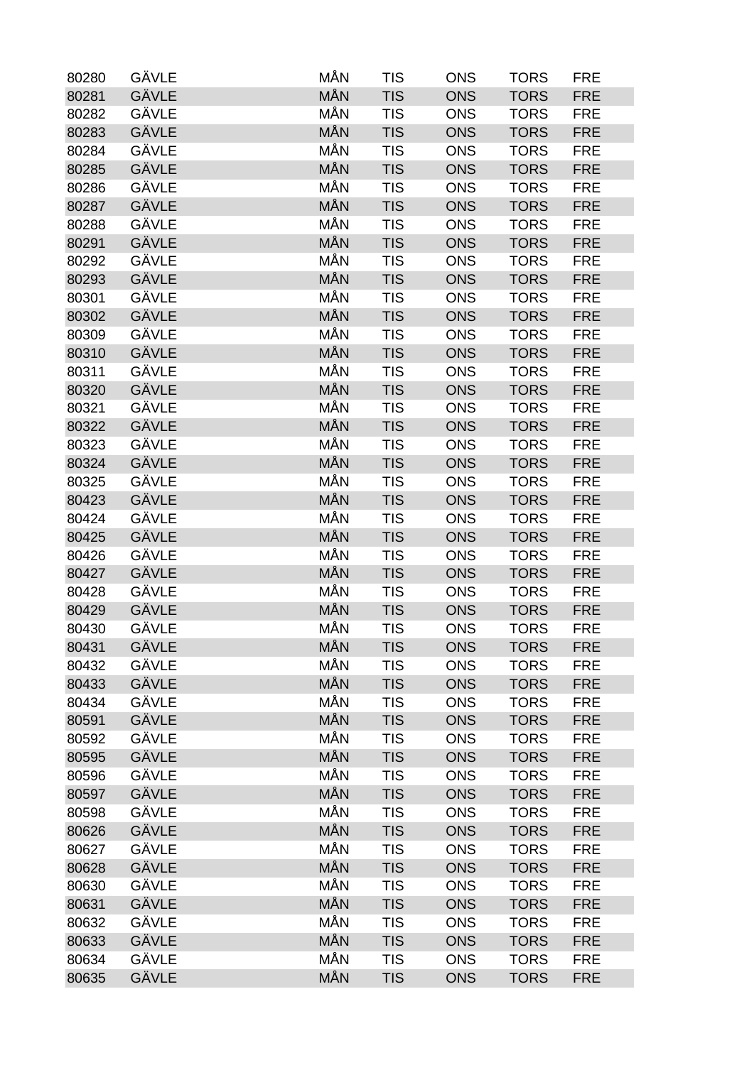| 80280 | GÄVLE        | MÅN        | <b>TIS</b> | <b>ONS</b> | <b>TORS</b> | <b>FRE</b> |
|-------|--------------|------------|------------|------------|-------------|------------|
| 80281 | <b>GÄVLE</b> | <b>MÅN</b> | <b>TIS</b> | <b>ONS</b> | <b>TORS</b> | <b>FRE</b> |
| 80282 | GÄVLE        | MÅN        | <b>TIS</b> | <b>ONS</b> | <b>TORS</b> | <b>FRE</b> |
| 80283 | GÄVLE        | <b>MÅN</b> | <b>TIS</b> | <b>ONS</b> | <b>TORS</b> | <b>FRE</b> |
| 80284 | GÄVLE        | MÅN        | <b>TIS</b> | <b>ONS</b> | <b>TORS</b> | <b>FRE</b> |
| 80285 | <b>GÄVLE</b> | MÅN        | <b>TIS</b> | <b>ONS</b> | <b>TORS</b> | <b>FRE</b> |
| 80286 | GÄVLE        | MÅN        | <b>TIS</b> | <b>ONS</b> | <b>TORS</b> | <b>FRE</b> |
| 80287 | GÄVLE        | MÅN        | <b>TIS</b> | <b>ONS</b> | <b>TORS</b> | <b>FRE</b> |
| 80288 | <b>GÄVLE</b> | MÅN        | <b>TIS</b> | <b>ONS</b> | <b>TORS</b> | <b>FRE</b> |
| 80291 | GÄVLE        | MÅN        | <b>TIS</b> | <b>ONS</b> | <b>TORS</b> | <b>FRE</b> |
| 80292 | GÄVLE        | MÅN        | <b>TIS</b> | <b>ONS</b> | <b>TORS</b> | <b>FRE</b> |
| 80293 | GÄVLE        | MÅN        | <b>TIS</b> | <b>ONS</b> | <b>TORS</b> | <b>FRE</b> |
| 80301 | GÄVLE        | MÅN        | <b>TIS</b> | <b>ONS</b> | <b>TORS</b> | <b>FRE</b> |
| 80302 | GÄVLE        | MÅN        | <b>TIS</b> | <b>ONS</b> | <b>TORS</b> | <b>FRE</b> |
| 80309 | GÄVLE        | MÅN        | <b>TIS</b> | <b>ONS</b> | <b>TORS</b> | <b>FRE</b> |
| 80310 | GÄVLE        | MÅN        | <b>TIS</b> | <b>ONS</b> | <b>TORS</b> | <b>FRE</b> |
| 80311 | GÄVLE        | MÅN        | <b>TIS</b> | <b>ONS</b> | <b>TORS</b> | <b>FRE</b> |
| 80320 | GÄVLE        | <b>MÅN</b> | <b>TIS</b> | <b>ONS</b> | <b>TORS</b> | <b>FRE</b> |
| 80321 | GÄVLE        | MÅN        | <b>TIS</b> | <b>ONS</b> | <b>TORS</b> | <b>FRE</b> |
| 80322 | GÄVLE        | MÅN        | <b>TIS</b> | <b>ONS</b> | <b>TORS</b> | <b>FRE</b> |
| 80323 | GÄVLE        | MÅN        | <b>TIS</b> | <b>ONS</b> | <b>TORS</b> | <b>FRE</b> |
| 80324 | GÄVLE        | MÅN        | <b>TIS</b> | <b>ONS</b> | <b>TORS</b> | <b>FRE</b> |
| 80325 | GÄVLE        | MÅN        | <b>TIS</b> | <b>ONS</b> | <b>TORS</b> | <b>FRE</b> |
| 80423 | GÄVLE        | MÅN        | <b>TIS</b> | <b>ONS</b> | <b>TORS</b> | <b>FRE</b> |
| 80424 | GÄVLE        | MÅN        | <b>TIS</b> | <b>ONS</b> | <b>TORS</b> | <b>FRE</b> |
| 80425 | <b>GÄVLE</b> | MÅN        | <b>TIS</b> | <b>ONS</b> | <b>TORS</b> | <b>FRE</b> |
| 80426 | GÄVLE        | MÅN        | <b>TIS</b> | <b>ONS</b> | <b>TORS</b> | <b>FRE</b> |
| 80427 | GÄVLE        | MÅN        | <b>TIS</b> | <b>ONS</b> | <b>TORS</b> | <b>FRE</b> |
| 80428 | GÄVLE        | MÅN        | <b>TIS</b> | <b>ONS</b> | <b>TORS</b> | <b>FRE</b> |
| 80429 | GÄVLE        | <b>MÅN</b> | <b>TIS</b> | <b>ONS</b> | <b>TORS</b> | <b>FRE</b> |
| 80430 | GÄVLE        | MÅN        | <b>TIS</b> | <b>ONS</b> | <b>TORS</b> | <b>FRE</b> |
| 80431 | GÄVLE        | <b>MÅN</b> | <b>TIS</b> | <b>ONS</b> | <b>TORS</b> | <b>FRE</b> |
| 80432 | GÄVLE        | MÅN        | <b>TIS</b> | <b>ONS</b> | <b>TORS</b> | <b>FRE</b> |
| 80433 | GÄVLE        | MÅN        | <b>TIS</b> | <b>ONS</b> | <b>TORS</b> | <b>FRE</b> |
| 80434 | GÄVLE        | MÅN        | <b>TIS</b> | <b>ONS</b> | <b>TORS</b> | <b>FRE</b> |
| 80591 | GÄVLE        | MÅN        | <b>TIS</b> | <b>ONS</b> | <b>TORS</b> | <b>FRE</b> |
| 80592 | GÄVLE        | MÅN        | <b>TIS</b> | <b>ONS</b> | <b>TORS</b> | <b>FRE</b> |
| 80595 | GÄVLE        | MÅN        | <b>TIS</b> | <b>ONS</b> | <b>TORS</b> | <b>FRE</b> |
| 80596 | GÄVLE        | MÅN        | <b>TIS</b> | <b>ONS</b> | <b>TORS</b> | <b>FRE</b> |
| 80597 | GÄVLE        | MÅN        | <b>TIS</b> | <b>ONS</b> | <b>TORS</b> | <b>FRE</b> |
| 80598 | GÄVLE        | MÅN        | <b>TIS</b> | <b>ONS</b> | <b>TORS</b> | <b>FRE</b> |
| 80626 | GÄVLE        | MÅN        | <b>TIS</b> | <b>ONS</b> | <b>TORS</b> | <b>FRE</b> |
| 80627 | GÄVLE        | MÅN        | <b>TIS</b> | <b>ONS</b> | <b>TORS</b> | <b>FRE</b> |
| 80628 | GÄVLE        | MÅN        | <b>TIS</b> | <b>ONS</b> | <b>TORS</b> | <b>FRE</b> |
| 80630 | GÄVLE        | MÅN        | <b>TIS</b> | <b>ONS</b> | <b>TORS</b> | <b>FRE</b> |
| 80631 | GÄVLE        | MÅN        | <b>TIS</b> | <b>ONS</b> | <b>TORS</b> | <b>FRE</b> |
| 80632 | GÄVLE        | MÅN        | <b>TIS</b> | <b>ONS</b> | <b>TORS</b> | <b>FRE</b> |
| 80633 | GÄVLE        | <b>MÅN</b> | <b>TIS</b> | <b>ONS</b> | <b>TORS</b> | <b>FRE</b> |
| 80634 | GÄVLE        | MÅN        | <b>TIS</b> | <b>ONS</b> | <b>TORS</b> | <b>FRE</b> |
| 80635 | GÄVLE        | MÅN        | <b>TIS</b> | <b>ONS</b> | <b>TORS</b> | <b>FRE</b> |
|       |              |            |            |            |             |            |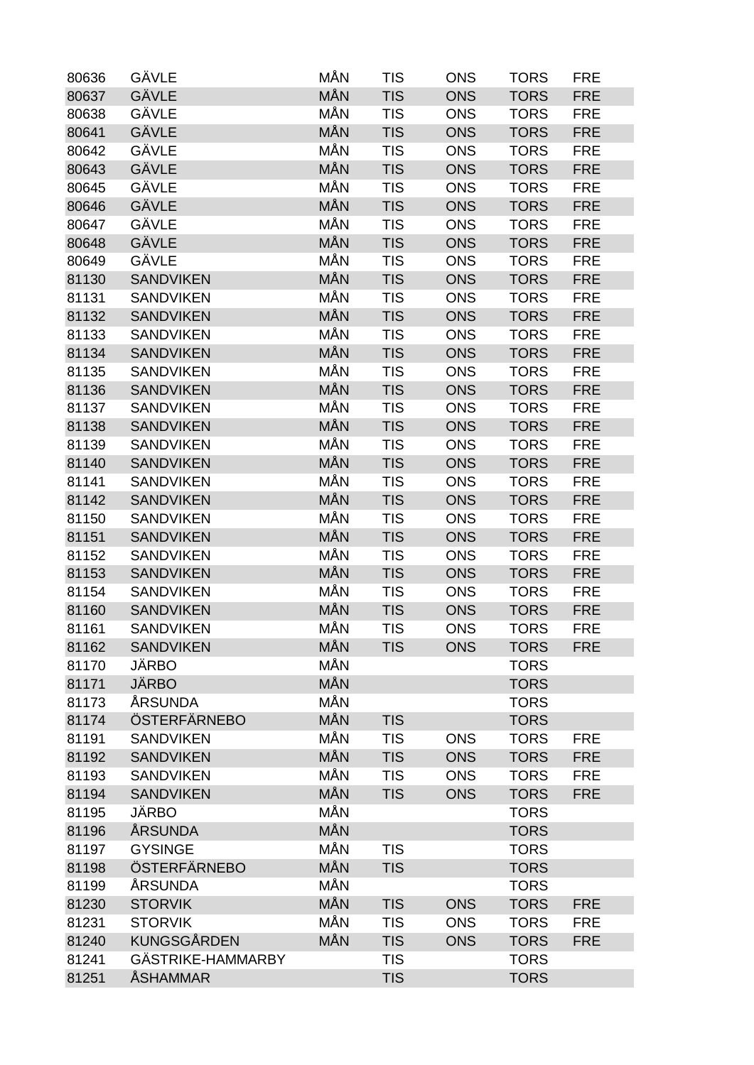| 80636 | GÄVLE              | MÅN        | <b>TIS</b> | <b>ONS</b> | <b>TORS</b> | <b>FRE</b> |
|-------|--------------------|------------|------------|------------|-------------|------------|
| 80637 | GÄVLE              | MÅN        | <b>TIS</b> | <b>ONS</b> | <b>TORS</b> | <b>FRE</b> |
| 80638 | GÄVLE              | MÅN        | <b>TIS</b> | <b>ONS</b> | <b>TORS</b> | <b>FRE</b> |
| 80641 | <b>GÄVLE</b>       | <b>MÅN</b> | <b>TIS</b> | <b>ONS</b> | <b>TORS</b> | <b>FRE</b> |
| 80642 | GÄVLE              | MÅN        | <b>TIS</b> | <b>ONS</b> | <b>TORS</b> | <b>FRE</b> |
| 80643 | GÄVLE              | MÅN        | <b>TIS</b> | <b>ONS</b> | <b>TORS</b> | <b>FRE</b> |
| 80645 | GÄVLE              | MÅN        | <b>TIS</b> | <b>ONS</b> | <b>TORS</b> | <b>FRE</b> |
| 80646 | GÄVLE              | MÅN        | <b>TIS</b> | <b>ONS</b> | <b>TORS</b> | <b>FRE</b> |
| 80647 | GÄVLE              | MÅN        | <b>TIS</b> | <b>ONS</b> | <b>TORS</b> | <b>FRE</b> |
| 80648 | GÄVLE              | MÅN        | <b>TIS</b> | <b>ONS</b> | <b>TORS</b> | <b>FRE</b> |
| 80649 | GÄVLE              | MÅN        | <b>TIS</b> | <b>ONS</b> | <b>TORS</b> | <b>FRE</b> |
| 81130 | <b>SANDVIKEN</b>   | MÅN        | <b>TIS</b> | <b>ONS</b> | <b>TORS</b> | <b>FRE</b> |
| 81131 | <b>SANDVIKEN</b>   | MÅN        | <b>TIS</b> | <b>ONS</b> | <b>TORS</b> | <b>FRE</b> |
| 81132 | <b>SANDVIKEN</b>   | MÅN        | <b>TIS</b> | <b>ONS</b> | <b>TORS</b> | <b>FRE</b> |
| 81133 | <b>SANDVIKEN</b>   | MÅN        | <b>TIS</b> | <b>ONS</b> | <b>TORS</b> | <b>FRE</b> |
| 81134 | <b>SANDVIKEN</b>   | MÅN        | <b>TIS</b> | <b>ONS</b> | <b>TORS</b> | <b>FRE</b> |
| 81135 | <b>SANDVIKEN</b>   | MÅN        | <b>TIS</b> | <b>ONS</b> | <b>TORS</b> | <b>FRE</b> |
| 81136 | <b>SANDVIKEN</b>   | <b>MÅN</b> | <b>TIS</b> | <b>ONS</b> | <b>TORS</b> | <b>FRE</b> |
| 81137 | <b>SANDVIKEN</b>   | MÅN        | <b>TIS</b> | <b>ONS</b> | <b>TORS</b> | <b>FRE</b> |
| 81138 | <b>SANDVIKEN</b>   | MÅN        | <b>TIS</b> | <b>ONS</b> | <b>TORS</b> | <b>FRE</b> |
| 81139 | <b>SANDVIKEN</b>   | MÅN        | <b>TIS</b> | <b>ONS</b> | <b>TORS</b> | <b>FRE</b> |
| 81140 | <b>SANDVIKEN</b>   | MÅN        | <b>TIS</b> | <b>ONS</b> | <b>TORS</b> | <b>FRE</b> |
| 81141 | <b>SANDVIKEN</b>   | MÅN        | <b>TIS</b> | <b>ONS</b> | <b>TORS</b> | <b>FRE</b> |
| 81142 | <b>SANDVIKEN</b>   | MÅN        | <b>TIS</b> | <b>ONS</b> | <b>TORS</b> | <b>FRE</b> |
| 81150 | <b>SANDVIKEN</b>   | MÅN        | <b>TIS</b> | <b>ONS</b> | <b>TORS</b> | <b>FRE</b> |
| 81151 | <b>SANDVIKEN</b>   | <b>MÅN</b> | <b>TIS</b> | <b>ONS</b> | <b>TORS</b> | <b>FRE</b> |
| 81152 | <b>SANDVIKEN</b>   | MÅN        | <b>TIS</b> | <b>ONS</b> | <b>TORS</b> | <b>FRE</b> |
| 81153 | <b>SANDVIKEN</b>   | MÅN        | <b>TIS</b> | <b>ONS</b> | <b>TORS</b> | <b>FRE</b> |
| 81154 | <b>SANDVIKEN</b>   | MÅN        | <b>TIS</b> | <b>ONS</b> | <b>TORS</b> | <b>FRE</b> |
| 81160 | <b>SANDVIKEN</b>   | MÅN        | <b>TIS</b> | <b>ONS</b> | <b>TORS</b> | <b>FRE</b> |
| 81161 | <b>SANDVIKEN</b>   | MÅN        | <b>TIS</b> | <b>ONS</b> | <b>TORS</b> | <b>FRE</b> |
| 81162 | <b>SANDVIKEN</b>   | MÅN        | <b>TIS</b> | <b>ONS</b> | <b>TORS</b> | <b>FRE</b> |
| 81170 | <b>JÄRBO</b>       | MÅN        |            |            | <b>TORS</b> |            |
| 81171 | <b>JÄRBO</b>       | MÅN        |            |            | <b>TORS</b> |            |
| 81173 | ÅRSUNDA            | MÅN        |            |            | <b>TORS</b> |            |
| 81174 | ÖSTERFÄRNEBO       | MÅN        | <b>TIS</b> |            | <b>TORS</b> |            |
| 81191 | <b>SANDVIKEN</b>   | MÅN        | <b>TIS</b> | <b>ONS</b> | <b>TORS</b> | <b>FRE</b> |
| 81192 | <b>SANDVIKEN</b>   | MÅN        | <b>TIS</b> | <b>ONS</b> | <b>TORS</b> | <b>FRE</b> |
| 81193 | <b>SANDVIKEN</b>   | MÅN        | <b>TIS</b> | <b>ONS</b> | <b>TORS</b> | <b>FRE</b> |
| 81194 | <b>SANDVIKEN</b>   | MÅN        | <b>TIS</b> | <b>ONS</b> | <b>TORS</b> | <b>FRE</b> |
| 81195 | <b>JÄRBO</b>       | MÅN        |            |            | <b>TORS</b> |            |
| 81196 | ÅRSUNDA            | MÅN        |            |            | <b>TORS</b> |            |
| 81197 | <b>GYSINGE</b>     | MÅN        | <b>TIS</b> |            | <b>TORS</b> |            |
| 81198 | ÖSTERFÄRNEBO       | MÅN        | <b>TIS</b> |            | <b>TORS</b> |            |
| 81199 | ÅRSUNDA            | MÅN        |            |            | <b>TORS</b> |            |
| 81230 | <b>STORVIK</b>     | MÅN        | <b>TIS</b> | <b>ONS</b> | <b>TORS</b> | <b>FRE</b> |
| 81231 | <b>STORVIK</b>     | MÅN        | <b>TIS</b> | <b>ONS</b> | <b>TORS</b> | <b>FRE</b> |
| 81240 | <b>KUNGSGÅRDEN</b> | MÅN        | <b>TIS</b> | <b>ONS</b> | <b>TORS</b> | <b>FRE</b> |
| 81241 | GÄSTRIKE-HAMMARBY  |            | <b>TIS</b> |            | <b>TORS</b> |            |
| 81251 | <b>ÅSHAMMAR</b>    |            | <b>TIS</b> |            | <b>TORS</b> |            |
|       |                    |            |            |            |             |            |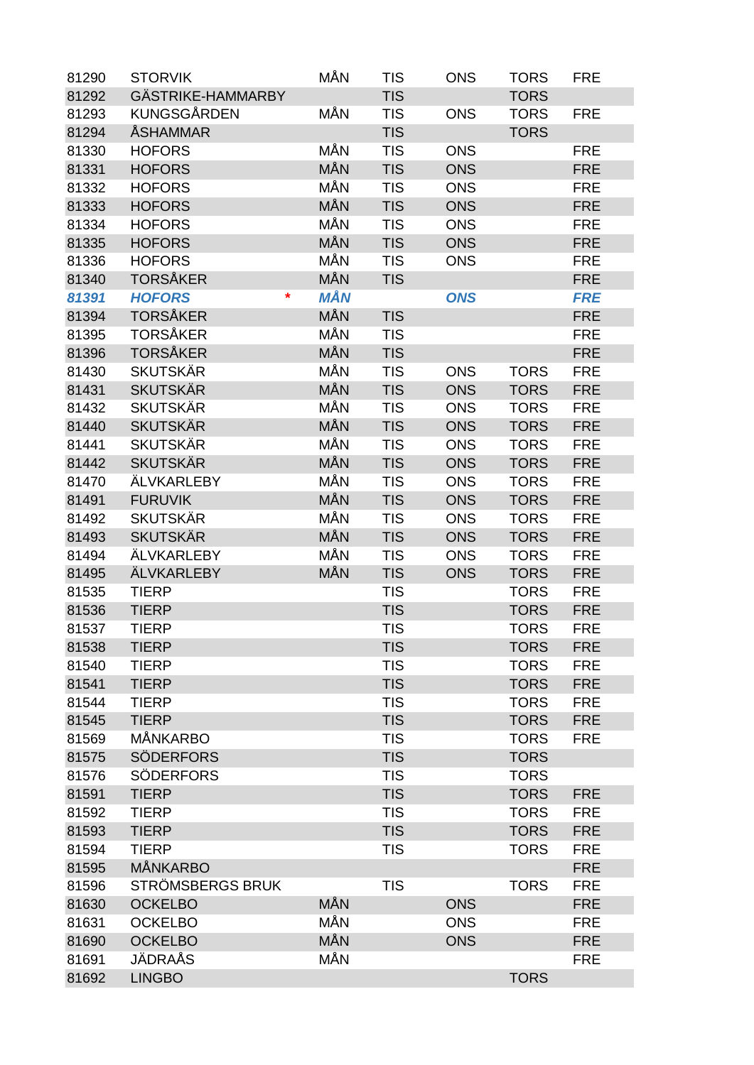| 81290 | <b>STORVIK</b>                  | MÅN        | <b>TIS</b>               | <b>ONS</b> | <b>TORS</b> | <b>FRE</b>               |
|-------|---------------------------------|------------|--------------------------|------------|-------------|--------------------------|
| 81292 | GÄSTRIKE-HAMMARBY               |            | <b>TIS</b>               |            | <b>TORS</b> |                          |
| 81293 | <b>KUNGSGÅRDEN</b>              | MÅN        | <b>TIS</b>               | <b>ONS</b> | <b>TORS</b> | <b>FRE</b>               |
| 81294 | <b>ÅSHAMMAR</b>                 |            | <b>TIS</b>               |            | <b>TORS</b> |                          |
| 81330 | <b>HOFORS</b>                   | MÅN        | <b>TIS</b>               | <b>ONS</b> |             | <b>FRE</b>               |
| 81331 | <b>HOFORS</b>                   | MÅN        | <b>TIS</b>               | <b>ONS</b> |             | <b>FRE</b>               |
| 81332 | <b>HOFORS</b>                   | MÅN        | <b>TIS</b>               | <b>ONS</b> |             | <b>FRE</b>               |
| 81333 | <b>HOFORS</b>                   | MÅN        | <b>TIS</b>               | <b>ONS</b> |             | <b>FRE</b>               |
| 81334 | <b>HOFORS</b>                   | MÅN        | <b>TIS</b>               | <b>ONS</b> |             | <b>FRE</b>               |
| 81335 | <b>HOFORS</b>                   | MÅN        | <b>TIS</b>               | <b>ONS</b> |             | <b>FRE</b>               |
| 81336 | <b>HOFORS</b>                   | MÅN        | <b>TIS</b>               | <b>ONS</b> |             | <b>FRE</b>               |
| 81340 | <b>TORSÅKER</b>                 | MÅN        | <b>TIS</b>               |            |             | <b>FRE</b>               |
| 81391 | <b>HOFORS</b><br>*              | <b>MÅN</b> |                          | <b>ONS</b> |             | <b>FRE</b>               |
| 81394 | <b>TORSÅKER</b>                 | MÅN        | <b>TIS</b>               |            |             | <b>FRE</b>               |
| 81395 | <b>TORSÅKER</b>                 | MÅN        | <b>TIS</b>               |            |             | <b>FRE</b>               |
| 81396 | <b>TORSÅKER</b>                 | MÅN        | <b>TIS</b>               |            |             | <b>FRE</b>               |
| 81430 | <b>SKUTSKÄR</b>                 | MÅN        | <b>TIS</b>               | <b>ONS</b> | <b>TORS</b> | <b>FRE</b>               |
| 81431 | <b>SKUTSKÄR</b>                 | MÅN        | <b>TIS</b>               | <b>ONS</b> | <b>TORS</b> | <b>FRE</b>               |
| 81432 | <b>SKUTSKÄR</b>                 | MÅN        | <b>TIS</b>               | <b>ONS</b> | <b>TORS</b> | <b>FRE</b>               |
| 81440 | <b>SKUTSKÄR</b>                 | MÅN        | <b>TIS</b>               | <b>ONS</b> | <b>TORS</b> | <b>FRE</b>               |
| 81441 | <b>SKUTSKÄR</b>                 | MÅN        | <b>TIS</b>               | <b>ONS</b> | <b>TORS</b> | <b>FRE</b>               |
| 81442 | <b>SKUTSKÄR</b>                 | MÅN        | <b>TIS</b>               | <b>ONS</b> | <b>TORS</b> | <b>FRE</b>               |
| 81470 | ÄLVKARLEBY                      | MÅN        | <b>TIS</b>               | <b>ONS</b> | <b>TORS</b> | <b>FRE</b>               |
| 81491 | <b>FURUVIK</b>                  | MÅN        | <b>TIS</b>               | <b>ONS</b> | <b>TORS</b> | <b>FRE</b>               |
| 81492 | <b>SKUTSKÄR</b>                 | MÅN        | <b>TIS</b>               | <b>ONS</b> | <b>TORS</b> | <b>FRE</b>               |
| 81493 | <b>SKUTSKÄR</b>                 | MÅN        | <b>TIS</b>               | <b>ONS</b> | <b>TORS</b> | <b>FRE</b>               |
| 81494 | <b>ÄLVKARLEBY</b>               | MÅN        | <b>TIS</b>               | <b>ONS</b> | <b>TORS</b> | <b>FRE</b>               |
| 81495 | <b>ÄLVKARLEBY</b>               | MÅN        | <b>TIS</b>               | <b>ONS</b> | <b>TORS</b> | <b>FRE</b>               |
| 81535 | <b>TIERP</b>                    |            | <b>TIS</b>               |            | <b>TORS</b> | <b>FRE</b>               |
| 81536 | <b>TIERP</b>                    |            | <b>TIS</b>               |            | <b>TORS</b> | <b>FRE</b>               |
| 81537 | <b>TIERP</b>                    |            | <b>TIS</b>               |            | <b>TORS</b> | <b>FRE</b>               |
|       | <b>TIERP</b>                    |            |                          |            | <b>TORS</b> |                          |
| 81538 | <b>TIERP</b>                    |            | <b>TIS</b><br><b>TIS</b> |            | <b>TORS</b> | <b>FRE</b><br><b>FRE</b> |
| 81540 |                                 |            |                          |            |             | <b>FRE</b>               |
| 81541 | <b>TIERP</b>                    |            | <b>TIS</b>               |            | <b>TORS</b> |                          |
| 81544 | <b>TIERP</b>                    |            | <b>TIS</b>               |            | <b>TORS</b> | <b>FRE</b>               |
| 81545 | <b>TIERP</b><br><b>MÅNKARBO</b> |            | <b>TIS</b>               |            | <b>TORS</b> | <b>FRE</b>               |
| 81569 |                                 |            | <b>TIS</b>               |            | <b>TORS</b> | <b>FRE</b>               |
| 81575 | <b>SÖDERFORS</b>                |            | <b>TIS</b>               |            | <b>TORS</b> |                          |
| 81576 | <b>SÖDERFORS</b>                |            | <b>TIS</b>               |            | <b>TORS</b> |                          |
| 81591 | <b>TIERP</b>                    |            | <b>TIS</b>               |            | <b>TORS</b> | <b>FRE</b>               |
| 81592 | <b>TIERP</b>                    |            | <b>TIS</b>               |            | <b>TORS</b> | <b>FRE</b>               |
| 81593 | <b>TIERP</b>                    |            | <b>TIS</b>               |            | <b>TORS</b> | <b>FRE</b>               |
| 81594 | <b>TIERP</b>                    |            | <b>TIS</b>               |            | <b>TORS</b> | <b>FRE</b>               |
| 81595 | <b>MÅNKARBO</b>                 |            |                          |            |             | <b>FRE</b>               |
| 81596 | STRÖMSBERGS BRUK                |            | <b>TIS</b>               |            | <b>TORS</b> | <b>FRE</b>               |
| 81630 | <b>OCKELBO</b>                  | <b>MÅN</b> |                          | <b>ONS</b> |             | <b>FRE</b>               |
| 81631 | <b>OCKELBO</b>                  | MÅN        |                          | <b>ONS</b> |             | <b>FRE</b>               |
| 81690 | <b>OCKELBO</b>                  | MÅN        |                          | <b>ONS</b> |             | <b>FRE</b>               |
| 81691 | JÄDRAÅS                         | MÅN        |                          |            |             | <b>FRE</b>               |
| 81692 | <b>LINGBO</b>                   |            |                          |            | <b>TORS</b> |                          |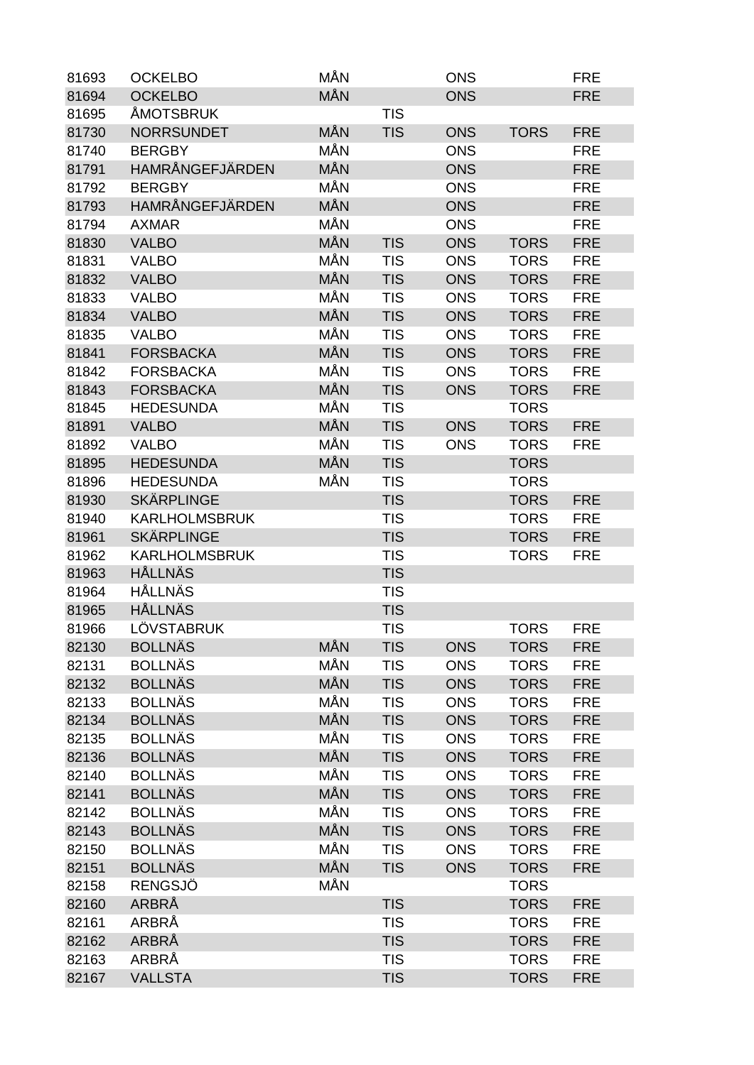| MÅN<br><b>OCKELBO</b><br><b>ONS</b><br><b>FRE</b><br>81694<br><b>ÅMOTSBRUK</b><br><b>TIS</b><br>81695<br>MÅN<br><b>NORRSUNDET</b><br><b>TIS</b><br>81730<br><b>ONS</b><br><b>TORS</b><br><b>FRE</b><br>MÅN<br><b>BERGBY</b><br><b>ONS</b><br><b>FRE</b><br>81740<br>HAMRÅNGEFJÄRDEN<br>MÅN<br>81791<br><b>ONS</b><br><b>FRE</b><br>MÅN<br>81792<br><b>BERGBY</b><br><b>ONS</b><br><b>FRE</b><br>HAMRÅNGEFJÄRDEN<br>MÅN<br><b>FRE</b><br>81793<br><b>ONS</b><br>MÅN<br>81794<br><b>AXMAR</b><br><b>ONS</b><br><b>FRE</b><br><b>MÅN</b><br><b>TIS</b><br><b>ONS</b><br>81830<br><b>VALBO</b><br><b>TORS</b><br><b>FRE</b><br>MÅN<br><b>TIS</b><br><b>ONS</b><br>81831<br><b>VALBO</b><br><b>TORS</b><br><b>FRE</b><br><b>MÅN</b><br>81832<br><b>TIS</b><br><b>ONS</b><br><b>TORS</b><br><b>FRE</b><br><b>VALBO</b><br>MÅN<br><b>TIS</b><br>81833<br><b>VALBO</b><br><b>ONS</b><br><b>TORS</b><br><b>FRE</b><br><b>MÅN</b><br><b>TIS</b><br><b>ONS</b><br>81834<br><b>VALBO</b><br><b>TORS</b><br><b>FRE</b><br>MÅN<br><b>TIS</b><br><b>ONS</b><br><b>TORS</b><br>81835<br><b>VALBO</b><br><b>FRE</b><br><b>MÅN</b><br><b>FORSBACKA</b><br><b>TIS</b><br>81841<br><b>ONS</b><br><b>TORS</b><br><b>FRE</b><br>MÅN<br><b>TIS</b><br>81842<br><b>FORSBACKA</b><br><b>ONS</b><br><b>TORS</b><br><b>FRE</b><br>MÅN<br><b>FORSBACKA</b><br><b>TIS</b><br><b>TORS</b><br>81843<br><b>ONS</b><br><b>FRE</b><br>MÅN<br><b>TIS</b><br>81845<br><b>HEDESUNDA</b><br><b>TORS</b><br>MÅN<br><b>TIS</b><br>81891<br><b>VALBO</b><br><b>ONS</b><br><b>TORS</b><br><b>FRE</b><br>MÅN<br>81892<br><b>VALBO</b><br><b>TIS</b><br><b>ONS</b><br><b>TORS</b><br><b>FRE</b><br>MÅN<br><b>HEDESUNDA</b><br><b>TIS</b><br><b>TORS</b><br>81895<br>MÅN<br><b>HEDESUNDA</b><br><b>TIS</b><br>81896<br><b>TORS</b><br><b>SKÄRPLINGE</b><br>81930<br><b>TIS</b><br><b>TORS</b><br><b>FRE</b><br><b>KARLHOLMSBRUK</b><br><b>TIS</b><br><b>TORS</b><br><b>FRE</b><br>81940<br><b>SKÄRPLINGE</b><br><b>TIS</b><br>81961<br><b>TORS</b><br><b>FRE</b><br><b>KARLHOLMSBRUK</b><br><b>TIS</b><br>81962<br><b>TORS</b><br><b>FRE</b><br><b>HÅLLNÄS</b><br><b>TIS</b><br>81963<br><b>HÅLLNÄS</b><br><b>TIS</b><br>81964<br><b>HÅLLNÄS</b><br><b>TIS</b><br>81965<br>LÖVSTABRUK<br>81966<br><b>TIS</b><br><b>TORS</b><br><b>FRE</b><br><b>BOLLNÄS</b><br><b>MÅN</b><br><b>TIS</b><br><b>ONS</b><br><b>TORS</b><br>82130<br><b>FRE</b><br>MÅN<br><b>BOLLNÄS</b><br><b>TIS</b><br>82131<br><b>ONS</b><br><b>TORS</b><br><b>FRE</b><br>MÅN<br><b>BOLLNÄS</b><br>82132<br><b>TIS</b><br><b>ONS</b><br><b>TORS</b><br><b>FRE</b><br>MÅN<br><b>BOLLNÄS</b><br><b>TIS</b><br><b>ONS</b><br><b>TORS</b><br><b>FRE</b><br>82133<br><b>MÅN</b><br><b>BOLLNÄS</b><br><b>TIS</b><br>82134<br><b>ONS</b><br><b>TORS</b><br><b>FRE</b><br>MÅN<br><b>BOLLNÄS</b><br>82135<br><b>TIS</b><br><b>ONS</b><br><b>TORS</b><br><b>FRE</b><br><b>BOLLNÄS</b><br><b>MÅN</b><br><b>TIS</b><br><b>TORS</b><br>82136<br><b>ONS</b><br><b>FRE</b><br><b>BOLLNÄS</b><br>MÅN<br>82140<br><b>TIS</b><br><b>ONS</b><br><b>TORS</b><br><b>FRE</b><br><b>BOLLNÄS</b><br>MÅN<br><b>TIS</b><br><b>ONS</b><br>82141<br><b>TORS</b><br><b>FRE</b><br>MÅN<br><b>BOLLNÄS</b><br><b>TIS</b><br><b>ONS</b><br><b>TORS</b><br><b>FRE</b><br>82142<br><b>BOLLNÄS</b><br><b>MÅN</b><br><b>TIS</b><br><b>ONS</b><br>82143<br><b>TORS</b><br><b>FRE</b><br>MÅN<br><b>BOLLNÄS</b><br><b>TIS</b><br><b>ONS</b><br><b>TORS</b><br>82150<br><b>FRE</b><br><b>BOLLNÄS</b><br><b>MÅN</b><br><b>ONS</b><br><b>TORS</b><br>82151<br><b>TIS</b><br><b>FRE</b><br>MÅN<br><b>RENGSJÖ</b><br>82158<br><b>TORS</b><br>ARBRÅ<br>82160<br><b>TIS</b><br><b>TORS</b><br><b>FRE</b><br>ARBRÅ<br><b>TIS</b><br><b>TORS</b><br>82161<br><b>FRE</b><br>82162<br>ARBRÅ<br><b>TIS</b><br><b>TORS</b><br><b>FRE</b><br>ARBRÅ<br>82163<br><b>TIS</b><br><b>TORS</b><br><b>FRE</b><br>82167<br><b>VALLSTA</b><br><b>TIS</b><br><b>TORS</b><br><b>FRE</b> | 81693 | <b>OCKELBO</b> | MÅN | <b>ONS</b> | <b>FRE</b> |
|-------------------------------------------------------------------------------------------------------------------------------------------------------------------------------------------------------------------------------------------------------------------------------------------------------------------------------------------------------------------------------------------------------------------------------------------------------------------------------------------------------------------------------------------------------------------------------------------------------------------------------------------------------------------------------------------------------------------------------------------------------------------------------------------------------------------------------------------------------------------------------------------------------------------------------------------------------------------------------------------------------------------------------------------------------------------------------------------------------------------------------------------------------------------------------------------------------------------------------------------------------------------------------------------------------------------------------------------------------------------------------------------------------------------------------------------------------------------------------------------------------------------------------------------------------------------------------------------------------------------------------------------------------------------------------------------------------------------------------------------------------------------------------------------------------------------------------------------------------------------------------------------------------------------------------------------------------------------------------------------------------------------------------------------------------------------------------------------------------------------------------------------------------------------------------------------------------------------------------------------------------------------------------------------------------------------------------------------------------------------------------------------------------------------------------------------------------------------------------------------------------------------------------------------------------------------------------------------------------------------------------------------------------------------------------------------------------------------------------------------------------------------------------------------------------------------------------------------------------------------------------------------------------------------------------------------------------------------------------------------------------------------------------------------------------------------------------------------------------------------------------------------------------------------------------------------------------------------------------------------------------------------------------------------------------------------------------------------------------------------------------------------------------------------------------------------------------------------------------------------------------------------------------------------------------------------------------------------------------------------------------------------------------------------------------------------------------------------------------------------------------------------------------------------------------------------------------------------------------------------------------------------------------------------------------------------|-------|----------------|-----|------------|------------|
|                                                                                                                                                                                                                                                                                                                                                                                                                                                                                                                                                                                                                                                                                                                                                                                                                                                                                                                                                                                                                                                                                                                                                                                                                                                                                                                                                                                                                                                                                                                                                                                                                                                                                                                                                                                                                                                                                                                                                                                                                                                                                                                                                                                                                                                                                                                                                                                                                                                                                                                                                                                                                                                                                                                                                                                                                                                                                                                                                                                                                                                                                                                                                                                                                                                                                                                                                                                                                                                                                                                                                                                                                                                                                                                                                                                                                                                                                                                                           |       |                |     |            |            |
|                                                                                                                                                                                                                                                                                                                                                                                                                                                                                                                                                                                                                                                                                                                                                                                                                                                                                                                                                                                                                                                                                                                                                                                                                                                                                                                                                                                                                                                                                                                                                                                                                                                                                                                                                                                                                                                                                                                                                                                                                                                                                                                                                                                                                                                                                                                                                                                                                                                                                                                                                                                                                                                                                                                                                                                                                                                                                                                                                                                                                                                                                                                                                                                                                                                                                                                                                                                                                                                                                                                                                                                                                                                                                                                                                                                                                                                                                                                                           |       |                |     |            |            |
|                                                                                                                                                                                                                                                                                                                                                                                                                                                                                                                                                                                                                                                                                                                                                                                                                                                                                                                                                                                                                                                                                                                                                                                                                                                                                                                                                                                                                                                                                                                                                                                                                                                                                                                                                                                                                                                                                                                                                                                                                                                                                                                                                                                                                                                                                                                                                                                                                                                                                                                                                                                                                                                                                                                                                                                                                                                                                                                                                                                                                                                                                                                                                                                                                                                                                                                                                                                                                                                                                                                                                                                                                                                                                                                                                                                                                                                                                                                                           |       |                |     |            |            |
|                                                                                                                                                                                                                                                                                                                                                                                                                                                                                                                                                                                                                                                                                                                                                                                                                                                                                                                                                                                                                                                                                                                                                                                                                                                                                                                                                                                                                                                                                                                                                                                                                                                                                                                                                                                                                                                                                                                                                                                                                                                                                                                                                                                                                                                                                                                                                                                                                                                                                                                                                                                                                                                                                                                                                                                                                                                                                                                                                                                                                                                                                                                                                                                                                                                                                                                                                                                                                                                                                                                                                                                                                                                                                                                                                                                                                                                                                                                                           |       |                |     |            |            |
|                                                                                                                                                                                                                                                                                                                                                                                                                                                                                                                                                                                                                                                                                                                                                                                                                                                                                                                                                                                                                                                                                                                                                                                                                                                                                                                                                                                                                                                                                                                                                                                                                                                                                                                                                                                                                                                                                                                                                                                                                                                                                                                                                                                                                                                                                                                                                                                                                                                                                                                                                                                                                                                                                                                                                                                                                                                                                                                                                                                                                                                                                                                                                                                                                                                                                                                                                                                                                                                                                                                                                                                                                                                                                                                                                                                                                                                                                                                                           |       |                |     |            |            |
|                                                                                                                                                                                                                                                                                                                                                                                                                                                                                                                                                                                                                                                                                                                                                                                                                                                                                                                                                                                                                                                                                                                                                                                                                                                                                                                                                                                                                                                                                                                                                                                                                                                                                                                                                                                                                                                                                                                                                                                                                                                                                                                                                                                                                                                                                                                                                                                                                                                                                                                                                                                                                                                                                                                                                                                                                                                                                                                                                                                                                                                                                                                                                                                                                                                                                                                                                                                                                                                                                                                                                                                                                                                                                                                                                                                                                                                                                                                                           |       |                |     |            |            |
|                                                                                                                                                                                                                                                                                                                                                                                                                                                                                                                                                                                                                                                                                                                                                                                                                                                                                                                                                                                                                                                                                                                                                                                                                                                                                                                                                                                                                                                                                                                                                                                                                                                                                                                                                                                                                                                                                                                                                                                                                                                                                                                                                                                                                                                                                                                                                                                                                                                                                                                                                                                                                                                                                                                                                                                                                                                                                                                                                                                                                                                                                                                                                                                                                                                                                                                                                                                                                                                                                                                                                                                                                                                                                                                                                                                                                                                                                                                                           |       |                |     |            |            |
|                                                                                                                                                                                                                                                                                                                                                                                                                                                                                                                                                                                                                                                                                                                                                                                                                                                                                                                                                                                                                                                                                                                                                                                                                                                                                                                                                                                                                                                                                                                                                                                                                                                                                                                                                                                                                                                                                                                                                                                                                                                                                                                                                                                                                                                                                                                                                                                                                                                                                                                                                                                                                                                                                                                                                                                                                                                                                                                                                                                                                                                                                                                                                                                                                                                                                                                                                                                                                                                                                                                                                                                                                                                                                                                                                                                                                                                                                                                                           |       |                |     |            |            |
|                                                                                                                                                                                                                                                                                                                                                                                                                                                                                                                                                                                                                                                                                                                                                                                                                                                                                                                                                                                                                                                                                                                                                                                                                                                                                                                                                                                                                                                                                                                                                                                                                                                                                                                                                                                                                                                                                                                                                                                                                                                                                                                                                                                                                                                                                                                                                                                                                                                                                                                                                                                                                                                                                                                                                                                                                                                                                                                                                                                                                                                                                                                                                                                                                                                                                                                                                                                                                                                                                                                                                                                                                                                                                                                                                                                                                                                                                                                                           |       |                |     |            |            |
|                                                                                                                                                                                                                                                                                                                                                                                                                                                                                                                                                                                                                                                                                                                                                                                                                                                                                                                                                                                                                                                                                                                                                                                                                                                                                                                                                                                                                                                                                                                                                                                                                                                                                                                                                                                                                                                                                                                                                                                                                                                                                                                                                                                                                                                                                                                                                                                                                                                                                                                                                                                                                                                                                                                                                                                                                                                                                                                                                                                                                                                                                                                                                                                                                                                                                                                                                                                                                                                                                                                                                                                                                                                                                                                                                                                                                                                                                                                                           |       |                |     |            |            |
|                                                                                                                                                                                                                                                                                                                                                                                                                                                                                                                                                                                                                                                                                                                                                                                                                                                                                                                                                                                                                                                                                                                                                                                                                                                                                                                                                                                                                                                                                                                                                                                                                                                                                                                                                                                                                                                                                                                                                                                                                                                                                                                                                                                                                                                                                                                                                                                                                                                                                                                                                                                                                                                                                                                                                                                                                                                                                                                                                                                                                                                                                                                                                                                                                                                                                                                                                                                                                                                                                                                                                                                                                                                                                                                                                                                                                                                                                                                                           |       |                |     |            |            |
|                                                                                                                                                                                                                                                                                                                                                                                                                                                                                                                                                                                                                                                                                                                                                                                                                                                                                                                                                                                                                                                                                                                                                                                                                                                                                                                                                                                                                                                                                                                                                                                                                                                                                                                                                                                                                                                                                                                                                                                                                                                                                                                                                                                                                                                                                                                                                                                                                                                                                                                                                                                                                                                                                                                                                                                                                                                                                                                                                                                                                                                                                                                                                                                                                                                                                                                                                                                                                                                                                                                                                                                                                                                                                                                                                                                                                                                                                                                                           |       |                |     |            |            |
|                                                                                                                                                                                                                                                                                                                                                                                                                                                                                                                                                                                                                                                                                                                                                                                                                                                                                                                                                                                                                                                                                                                                                                                                                                                                                                                                                                                                                                                                                                                                                                                                                                                                                                                                                                                                                                                                                                                                                                                                                                                                                                                                                                                                                                                                                                                                                                                                                                                                                                                                                                                                                                                                                                                                                                                                                                                                                                                                                                                                                                                                                                                                                                                                                                                                                                                                                                                                                                                                                                                                                                                                                                                                                                                                                                                                                                                                                                                                           |       |                |     |            |            |
|                                                                                                                                                                                                                                                                                                                                                                                                                                                                                                                                                                                                                                                                                                                                                                                                                                                                                                                                                                                                                                                                                                                                                                                                                                                                                                                                                                                                                                                                                                                                                                                                                                                                                                                                                                                                                                                                                                                                                                                                                                                                                                                                                                                                                                                                                                                                                                                                                                                                                                                                                                                                                                                                                                                                                                                                                                                                                                                                                                                                                                                                                                                                                                                                                                                                                                                                                                                                                                                                                                                                                                                                                                                                                                                                                                                                                                                                                                                                           |       |                |     |            |            |
|                                                                                                                                                                                                                                                                                                                                                                                                                                                                                                                                                                                                                                                                                                                                                                                                                                                                                                                                                                                                                                                                                                                                                                                                                                                                                                                                                                                                                                                                                                                                                                                                                                                                                                                                                                                                                                                                                                                                                                                                                                                                                                                                                                                                                                                                                                                                                                                                                                                                                                                                                                                                                                                                                                                                                                                                                                                                                                                                                                                                                                                                                                                                                                                                                                                                                                                                                                                                                                                                                                                                                                                                                                                                                                                                                                                                                                                                                                                                           |       |                |     |            |            |
|                                                                                                                                                                                                                                                                                                                                                                                                                                                                                                                                                                                                                                                                                                                                                                                                                                                                                                                                                                                                                                                                                                                                                                                                                                                                                                                                                                                                                                                                                                                                                                                                                                                                                                                                                                                                                                                                                                                                                                                                                                                                                                                                                                                                                                                                                                                                                                                                                                                                                                                                                                                                                                                                                                                                                                                                                                                                                                                                                                                                                                                                                                                                                                                                                                                                                                                                                                                                                                                                                                                                                                                                                                                                                                                                                                                                                                                                                                                                           |       |                |     |            |            |
|                                                                                                                                                                                                                                                                                                                                                                                                                                                                                                                                                                                                                                                                                                                                                                                                                                                                                                                                                                                                                                                                                                                                                                                                                                                                                                                                                                                                                                                                                                                                                                                                                                                                                                                                                                                                                                                                                                                                                                                                                                                                                                                                                                                                                                                                                                                                                                                                                                                                                                                                                                                                                                                                                                                                                                                                                                                                                                                                                                                                                                                                                                                                                                                                                                                                                                                                                                                                                                                                                                                                                                                                                                                                                                                                                                                                                                                                                                                                           |       |                |     |            |            |
|                                                                                                                                                                                                                                                                                                                                                                                                                                                                                                                                                                                                                                                                                                                                                                                                                                                                                                                                                                                                                                                                                                                                                                                                                                                                                                                                                                                                                                                                                                                                                                                                                                                                                                                                                                                                                                                                                                                                                                                                                                                                                                                                                                                                                                                                                                                                                                                                                                                                                                                                                                                                                                                                                                                                                                                                                                                                                                                                                                                                                                                                                                                                                                                                                                                                                                                                                                                                                                                                                                                                                                                                                                                                                                                                                                                                                                                                                                                                           |       |                |     |            |            |
|                                                                                                                                                                                                                                                                                                                                                                                                                                                                                                                                                                                                                                                                                                                                                                                                                                                                                                                                                                                                                                                                                                                                                                                                                                                                                                                                                                                                                                                                                                                                                                                                                                                                                                                                                                                                                                                                                                                                                                                                                                                                                                                                                                                                                                                                                                                                                                                                                                                                                                                                                                                                                                                                                                                                                                                                                                                                                                                                                                                                                                                                                                                                                                                                                                                                                                                                                                                                                                                                                                                                                                                                                                                                                                                                                                                                                                                                                                                                           |       |                |     |            |            |
|                                                                                                                                                                                                                                                                                                                                                                                                                                                                                                                                                                                                                                                                                                                                                                                                                                                                                                                                                                                                                                                                                                                                                                                                                                                                                                                                                                                                                                                                                                                                                                                                                                                                                                                                                                                                                                                                                                                                                                                                                                                                                                                                                                                                                                                                                                                                                                                                                                                                                                                                                                                                                                                                                                                                                                                                                                                                                                                                                                                                                                                                                                                                                                                                                                                                                                                                                                                                                                                                                                                                                                                                                                                                                                                                                                                                                                                                                                                                           |       |                |     |            |            |
|                                                                                                                                                                                                                                                                                                                                                                                                                                                                                                                                                                                                                                                                                                                                                                                                                                                                                                                                                                                                                                                                                                                                                                                                                                                                                                                                                                                                                                                                                                                                                                                                                                                                                                                                                                                                                                                                                                                                                                                                                                                                                                                                                                                                                                                                                                                                                                                                                                                                                                                                                                                                                                                                                                                                                                                                                                                                                                                                                                                                                                                                                                                                                                                                                                                                                                                                                                                                                                                                                                                                                                                                                                                                                                                                                                                                                                                                                                                                           |       |                |     |            |            |
|                                                                                                                                                                                                                                                                                                                                                                                                                                                                                                                                                                                                                                                                                                                                                                                                                                                                                                                                                                                                                                                                                                                                                                                                                                                                                                                                                                                                                                                                                                                                                                                                                                                                                                                                                                                                                                                                                                                                                                                                                                                                                                                                                                                                                                                                                                                                                                                                                                                                                                                                                                                                                                                                                                                                                                                                                                                                                                                                                                                                                                                                                                                                                                                                                                                                                                                                                                                                                                                                                                                                                                                                                                                                                                                                                                                                                                                                                                                                           |       |                |     |            |            |
|                                                                                                                                                                                                                                                                                                                                                                                                                                                                                                                                                                                                                                                                                                                                                                                                                                                                                                                                                                                                                                                                                                                                                                                                                                                                                                                                                                                                                                                                                                                                                                                                                                                                                                                                                                                                                                                                                                                                                                                                                                                                                                                                                                                                                                                                                                                                                                                                                                                                                                                                                                                                                                                                                                                                                                                                                                                                                                                                                                                                                                                                                                                                                                                                                                                                                                                                                                                                                                                                                                                                                                                                                                                                                                                                                                                                                                                                                                                                           |       |                |     |            |            |
|                                                                                                                                                                                                                                                                                                                                                                                                                                                                                                                                                                                                                                                                                                                                                                                                                                                                                                                                                                                                                                                                                                                                                                                                                                                                                                                                                                                                                                                                                                                                                                                                                                                                                                                                                                                                                                                                                                                                                                                                                                                                                                                                                                                                                                                                                                                                                                                                                                                                                                                                                                                                                                                                                                                                                                                                                                                                                                                                                                                                                                                                                                                                                                                                                                                                                                                                                                                                                                                                                                                                                                                                                                                                                                                                                                                                                                                                                                                                           |       |                |     |            |            |
|                                                                                                                                                                                                                                                                                                                                                                                                                                                                                                                                                                                                                                                                                                                                                                                                                                                                                                                                                                                                                                                                                                                                                                                                                                                                                                                                                                                                                                                                                                                                                                                                                                                                                                                                                                                                                                                                                                                                                                                                                                                                                                                                                                                                                                                                                                                                                                                                                                                                                                                                                                                                                                                                                                                                                                                                                                                                                                                                                                                                                                                                                                                                                                                                                                                                                                                                                                                                                                                                                                                                                                                                                                                                                                                                                                                                                                                                                                                                           |       |                |     |            |            |
|                                                                                                                                                                                                                                                                                                                                                                                                                                                                                                                                                                                                                                                                                                                                                                                                                                                                                                                                                                                                                                                                                                                                                                                                                                                                                                                                                                                                                                                                                                                                                                                                                                                                                                                                                                                                                                                                                                                                                                                                                                                                                                                                                                                                                                                                                                                                                                                                                                                                                                                                                                                                                                                                                                                                                                                                                                                                                                                                                                                                                                                                                                                                                                                                                                                                                                                                                                                                                                                                                                                                                                                                                                                                                                                                                                                                                                                                                                                                           |       |                |     |            |            |
|                                                                                                                                                                                                                                                                                                                                                                                                                                                                                                                                                                                                                                                                                                                                                                                                                                                                                                                                                                                                                                                                                                                                                                                                                                                                                                                                                                                                                                                                                                                                                                                                                                                                                                                                                                                                                                                                                                                                                                                                                                                                                                                                                                                                                                                                                                                                                                                                                                                                                                                                                                                                                                                                                                                                                                                                                                                                                                                                                                                                                                                                                                                                                                                                                                                                                                                                                                                                                                                                                                                                                                                                                                                                                                                                                                                                                                                                                                                                           |       |                |     |            |            |
|                                                                                                                                                                                                                                                                                                                                                                                                                                                                                                                                                                                                                                                                                                                                                                                                                                                                                                                                                                                                                                                                                                                                                                                                                                                                                                                                                                                                                                                                                                                                                                                                                                                                                                                                                                                                                                                                                                                                                                                                                                                                                                                                                                                                                                                                                                                                                                                                                                                                                                                                                                                                                                                                                                                                                                                                                                                                                                                                                                                                                                                                                                                                                                                                                                                                                                                                                                                                                                                                                                                                                                                                                                                                                                                                                                                                                                                                                                                                           |       |                |     |            |            |
|                                                                                                                                                                                                                                                                                                                                                                                                                                                                                                                                                                                                                                                                                                                                                                                                                                                                                                                                                                                                                                                                                                                                                                                                                                                                                                                                                                                                                                                                                                                                                                                                                                                                                                                                                                                                                                                                                                                                                                                                                                                                                                                                                                                                                                                                                                                                                                                                                                                                                                                                                                                                                                                                                                                                                                                                                                                                                                                                                                                                                                                                                                                                                                                                                                                                                                                                                                                                                                                                                                                                                                                                                                                                                                                                                                                                                                                                                                                                           |       |                |     |            |            |
|                                                                                                                                                                                                                                                                                                                                                                                                                                                                                                                                                                                                                                                                                                                                                                                                                                                                                                                                                                                                                                                                                                                                                                                                                                                                                                                                                                                                                                                                                                                                                                                                                                                                                                                                                                                                                                                                                                                                                                                                                                                                                                                                                                                                                                                                                                                                                                                                                                                                                                                                                                                                                                                                                                                                                                                                                                                                                                                                                                                                                                                                                                                                                                                                                                                                                                                                                                                                                                                                                                                                                                                                                                                                                                                                                                                                                                                                                                                                           |       |                |     |            |            |
|                                                                                                                                                                                                                                                                                                                                                                                                                                                                                                                                                                                                                                                                                                                                                                                                                                                                                                                                                                                                                                                                                                                                                                                                                                                                                                                                                                                                                                                                                                                                                                                                                                                                                                                                                                                                                                                                                                                                                                                                                                                                                                                                                                                                                                                                                                                                                                                                                                                                                                                                                                                                                                                                                                                                                                                                                                                                                                                                                                                                                                                                                                                                                                                                                                                                                                                                                                                                                                                                                                                                                                                                                                                                                                                                                                                                                                                                                                                                           |       |                |     |            |            |
|                                                                                                                                                                                                                                                                                                                                                                                                                                                                                                                                                                                                                                                                                                                                                                                                                                                                                                                                                                                                                                                                                                                                                                                                                                                                                                                                                                                                                                                                                                                                                                                                                                                                                                                                                                                                                                                                                                                                                                                                                                                                                                                                                                                                                                                                                                                                                                                                                                                                                                                                                                                                                                                                                                                                                                                                                                                                                                                                                                                                                                                                                                                                                                                                                                                                                                                                                                                                                                                                                                                                                                                                                                                                                                                                                                                                                                                                                                                                           |       |                |     |            |            |
|                                                                                                                                                                                                                                                                                                                                                                                                                                                                                                                                                                                                                                                                                                                                                                                                                                                                                                                                                                                                                                                                                                                                                                                                                                                                                                                                                                                                                                                                                                                                                                                                                                                                                                                                                                                                                                                                                                                                                                                                                                                                                                                                                                                                                                                                                                                                                                                                                                                                                                                                                                                                                                                                                                                                                                                                                                                                                                                                                                                                                                                                                                                                                                                                                                                                                                                                                                                                                                                                                                                                                                                                                                                                                                                                                                                                                                                                                                                                           |       |                |     |            |            |
|                                                                                                                                                                                                                                                                                                                                                                                                                                                                                                                                                                                                                                                                                                                                                                                                                                                                                                                                                                                                                                                                                                                                                                                                                                                                                                                                                                                                                                                                                                                                                                                                                                                                                                                                                                                                                                                                                                                                                                                                                                                                                                                                                                                                                                                                                                                                                                                                                                                                                                                                                                                                                                                                                                                                                                                                                                                                                                                                                                                                                                                                                                                                                                                                                                                                                                                                                                                                                                                                                                                                                                                                                                                                                                                                                                                                                                                                                                                                           |       |                |     |            |            |
|                                                                                                                                                                                                                                                                                                                                                                                                                                                                                                                                                                                                                                                                                                                                                                                                                                                                                                                                                                                                                                                                                                                                                                                                                                                                                                                                                                                                                                                                                                                                                                                                                                                                                                                                                                                                                                                                                                                                                                                                                                                                                                                                                                                                                                                                                                                                                                                                                                                                                                                                                                                                                                                                                                                                                                                                                                                                                                                                                                                                                                                                                                                                                                                                                                                                                                                                                                                                                                                                                                                                                                                                                                                                                                                                                                                                                                                                                                                                           |       |                |     |            |            |
|                                                                                                                                                                                                                                                                                                                                                                                                                                                                                                                                                                                                                                                                                                                                                                                                                                                                                                                                                                                                                                                                                                                                                                                                                                                                                                                                                                                                                                                                                                                                                                                                                                                                                                                                                                                                                                                                                                                                                                                                                                                                                                                                                                                                                                                                                                                                                                                                                                                                                                                                                                                                                                                                                                                                                                                                                                                                                                                                                                                                                                                                                                                                                                                                                                                                                                                                                                                                                                                                                                                                                                                                                                                                                                                                                                                                                                                                                                                                           |       |                |     |            |            |
|                                                                                                                                                                                                                                                                                                                                                                                                                                                                                                                                                                                                                                                                                                                                                                                                                                                                                                                                                                                                                                                                                                                                                                                                                                                                                                                                                                                                                                                                                                                                                                                                                                                                                                                                                                                                                                                                                                                                                                                                                                                                                                                                                                                                                                                                                                                                                                                                                                                                                                                                                                                                                                                                                                                                                                                                                                                                                                                                                                                                                                                                                                                                                                                                                                                                                                                                                                                                                                                                                                                                                                                                                                                                                                                                                                                                                                                                                                                                           |       |                |     |            |            |
|                                                                                                                                                                                                                                                                                                                                                                                                                                                                                                                                                                                                                                                                                                                                                                                                                                                                                                                                                                                                                                                                                                                                                                                                                                                                                                                                                                                                                                                                                                                                                                                                                                                                                                                                                                                                                                                                                                                                                                                                                                                                                                                                                                                                                                                                                                                                                                                                                                                                                                                                                                                                                                                                                                                                                                                                                                                                                                                                                                                                                                                                                                                                                                                                                                                                                                                                                                                                                                                                                                                                                                                                                                                                                                                                                                                                                                                                                                                                           |       |                |     |            |            |
|                                                                                                                                                                                                                                                                                                                                                                                                                                                                                                                                                                                                                                                                                                                                                                                                                                                                                                                                                                                                                                                                                                                                                                                                                                                                                                                                                                                                                                                                                                                                                                                                                                                                                                                                                                                                                                                                                                                                                                                                                                                                                                                                                                                                                                                                                                                                                                                                                                                                                                                                                                                                                                                                                                                                                                                                                                                                                                                                                                                                                                                                                                                                                                                                                                                                                                                                                                                                                                                                                                                                                                                                                                                                                                                                                                                                                                                                                                                                           |       |                |     |            |            |
|                                                                                                                                                                                                                                                                                                                                                                                                                                                                                                                                                                                                                                                                                                                                                                                                                                                                                                                                                                                                                                                                                                                                                                                                                                                                                                                                                                                                                                                                                                                                                                                                                                                                                                                                                                                                                                                                                                                                                                                                                                                                                                                                                                                                                                                                                                                                                                                                                                                                                                                                                                                                                                                                                                                                                                                                                                                                                                                                                                                                                                                                                                                                                                                                                                                                                                                                                                                                                                                                                                                                                                                                                                                                                                                                                                                                                                                                                                                                           |       |                |     |            |            |
|                                                                                                                                                                                                                                                                                                                                                                                                                                                                                                                                                                                                                                                                                                                                                                                                                                                                                                                                                                                                                                                                                                                                                                                                                                                                                                                                                                                                                                                                                                                                                                                                                                                                                                                                                                                                                                                                                                                                                                                                                                                                                                                                                                                                                                                                                                                                                                                                                                                                                                                                                                                                                                                                                                                                                                                                                                                                                                                                                                                                                                                                                                                                                                                                                                                                                                                                                                                                                                                                                                                                                                                                                                                                                                                                                                                                                                                                                                                                           |       |                |     |            |            |
|                                                                                                                                                                                                                                                                                                                                                                                                                                                                                                                                                                                                                                                                                                                                                                                                                                                                                                                                                                                                                                                                                                                                                                                                                                                                                                                                                                                                                                                                                                                                                                                                                                                                                                                                                                                                                                                                                                                                                                                                                                                                                                                                                                                                                                                                                                                                                                                                                                                                                                                                                                                                                                                                                                                                                                                                                                                                                                                                                                                                                                                                                                                                                                                                                                                                                                                                                                                                                                                                                                                                                                                                                                                                                                                                                                                                                                                                                                                                           |       |                |     |            |            |
|                                                                                                                                                                                                                                                                                                                                                                                                                                                                                                                                                                                                                                                                                                                                                                                                                                                                                                                                                                                                                                                                                                                                                                                                                                                                                                                                                                                                                                                                                                                                                                                                                                                                                                                                                                                                                                                                                                                                                                                                                                                                                                                                                                                                                                                                                                                                                                                                                                                                                                                                                                                                                                                                                                                                                                                                                                                                                                                                                                                                                                                                                                                                                                                                                                                                                                                                                                                                                                                                                                                                                                                                                                                                                                                                                                                                                                                                                                                                           |       |                |     |            |            |
|                                                                                                                                                                                                                                                                                                                                                                                                                                                                                                                                                                                                                                                                                                                                                                                                                                                                                                                                                                                                                                                                                                                                                                                                                                                                                                                                                                                                                                                                                                                                                                                                                                                                                                                                                                                                                                                                                                                                                                                                                                                                                                                                                                                                                                                                                                                                                                                                                                                                                                                                                                                                                                                                                                                                                                                                                                                                                                                                                                                                                                                                                                                                                                                                                                                                                                                                                                                                                                                                                                                                                                                                                                                                                                                                                                                                                                                                                                                                           |       |                |     |            |            |
|                                                                                                                                                                                                                                                                                                                                                                                                                                                                                                                                                                                                                                                                                                                                                                                                                                                                                                                                                                                                                                                                                                                                                                                                                                                                                                                                                                                                                                                                                                                                                                                                                                                                                                                                                                                                                                                                                                                                                                                                                                                                                                                                                                                                                                                                                                                                                                                                                                                                                                                                                                                                                                                                                                                                                                                                                                                                                                                                                                                                                                                                                                                                                                                                                                                                                                                                                                                                                                                                                                                                                                                                                                                                                                                                                                                                                                                                                                                                           |       |                |     |            |            |
|                                                                                                                                                                                                                                                                                                                                                                                                                                                                                                                                                                                                                                                                                                                                                                                                                                                                                                                                                                                                                                                                                                                                                                                                                                                                                                                                                                                                                                                                                                                                                                                                                                                                                                                                                                                                                                                                                                                                                                                                                                                                                                                                                                                                                                                                                                                                                                                                                                                                                                                                                                                                                                                                                                                                                                                                                                                                                                                                                                                                                                                                                                                                                                                                                                                                                                                                                                                                                                                                                                                                                                                                                                                                                                                                                                                                                                                                                                                                           |       |                |     |            |            |
|                                                                                                                                                                                                                                                                                                                                                                                                                                                                                                                                                                                                                                                                                                                                                                                                                                                                                                                                                                                                                                                                                                                                                                                                                                                                                                                                                                                                                                                                                                                                                                                                                                                                                                                                                                                                                                                                                                                                                                                                                                                                                                                                                                                                                                                                                                                                                                                                                                                                                                                                                                                                                                                                                                                                                                                                                                                                                                                                                                                                                                                                                                                                                                                                                                                                                                                                                                                                                                                                                                                                                                                                                                                                                                                                                                                                                                                                                                                                           |       |                |     |            |            |
|                                                                                                                                                                                                                                                                                                                                                                                                                                                                                                                                                                                                                                                                                                                                                                                                                                                                                                                                                                                                                                                                                                                                                                                                                                                                                                                                                                                                                                                                                                                                                                                                                                                                                                                                                                                                                                                                                                                                                                                                                                                                                                                                                                                                                                                                                                                                                                                                                                                                                                                                                                                                                                                                                                                                                                                                                                                                                                                                                                                                                                                                                                                                                                                                                                                                                                                                                                                                                                                                                                                                                                                                                                                                                                                                                                                                                                                                                                                                           |       |                |     |            |            |
|                                                                                                                                                                                                                                                                                                                                                                                                                                                                                                                                                                                                                                                                                                                                                                                                                                                                                                                                                                                                                                                                                                                                                                                                                                                                                                                                                                                                                                                                                                                                                                                                                                                                                                                                                                                                                                                                                                                                                                                                                                                                                                                                                                                                                                                                                                                                                                                                                                                                                                                                                                                                                                                                                                                                                                                                                                                                                                                                                                                                                                                                                                                                                                                                                                                                                                                                                                                                                                                                                                                                                                                                                                                                                                                                                                                                                                                                                                                                           |       |                |     |            |            |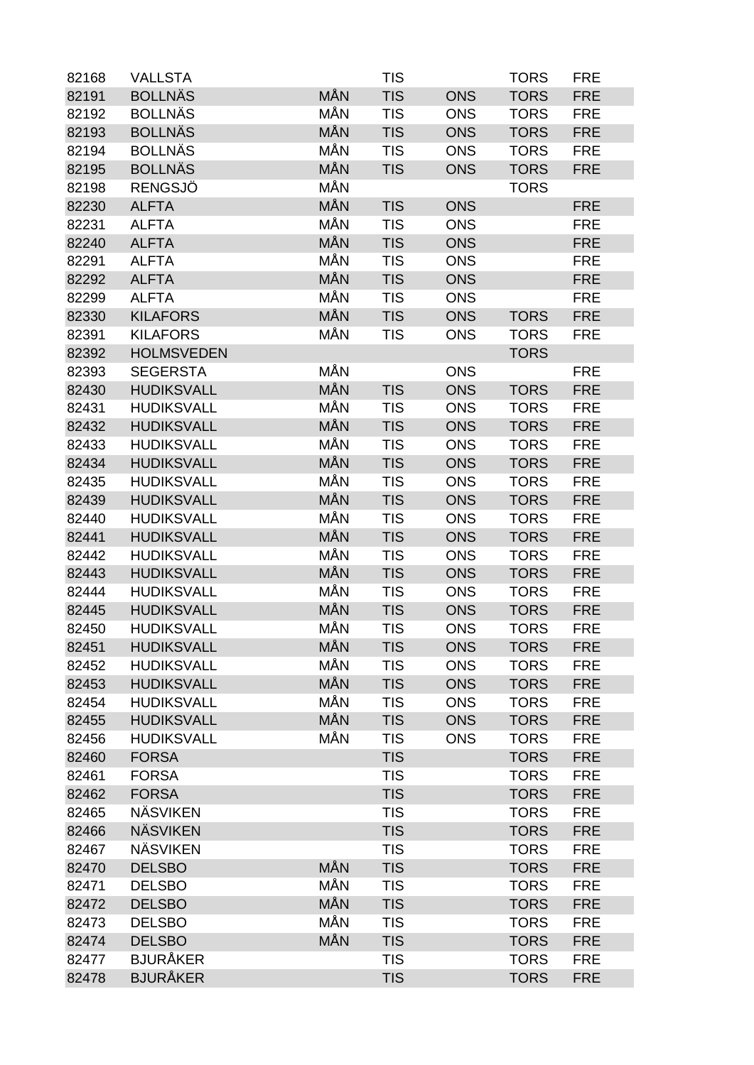| 82168 | <b>VALLSTA</b>    |            | <b>TIS</b> |            | <b>TORS</b> | <b>FRE</b> |
|-------|-------------------|------------|------------|------------|-------------|------------|
| 82191 | <b>BOLLNÄS</b>    | MÅN        | <b>TIS</b> | <b>ONS</b> | <b>TORS</b> | <b>FRE</b> |
| 82192 | <b>BOLLNÄS</b>    | MÅN        | <b>TIS</b> | <b>ONS</b> | <b>TORS</b> | <b>FRE</b> |
| 82193 | <b>BOLLNÄS</b>    | <b>MÅN</b> | <b>TIS</b> | <b>ONS</b> | <b>TORS</b> | <b>FRE</b> |
| 82194 | <b>BOLLNÄS</b>    | MÅN        | <b>TIS</b> | <b>ONS</b> | <b>TORS</b> | <b>FRE</b> |
| 82195 | <b>BOLLNÄS</b>    | <b>MÅN</b> | <b>TIS</b> | <b>ONS</b> | <b>TORS</b> | <b>FRE</b> |
| 82198 | <b>RENGSJÖ</b>    | MÅN        |            |            | <b>TORS</b> |            |
| 82230 | <b>ALFTA</b>      | MÅN        | <b>TIS</b> | <b>ONS</b> |             | <b>FRE</b> |
| 82231 | <b>ALFTA</b>      | MÅN        | <b>TIS</b> | <b>ONS</b> |             | <b>FRE</b> |
| 82240 | <b>ALFTA</b>      | <b>MÅN</b> | <b>TIS</b> | <b>ONS</b> |             | <b>FRE</b> |
| 82291 | <b>ALFTA</b>      | MÅN        | <b>TIS</b> | <b>ONS</b> |             | <b>FRE</b> |
| 82292 | <b>ALFTA</b>      | MÅN        | <b>TIS</b> | <b>ONS</b> |             | <b>FRE</b> |
| 82299 | <b>ALFTA</b>      | MÅN        | <b>TIS</b> | <b>ONS</b> |             | <b>FRE</b> |
| 82330 | <b>KILAFORS</b>   | MÅN        | <b>TIS</b> | <b>ONS</b> | <b>TORS</b> | <b>FRE</b> |
| 82391 | <b>KILAFORS</b>   | MÅN        | <b>TIS</b> | <b>ONS</b> | <b>TORS</b> | <b>FRE</b> |
| 82392 | <b>HOLMSVEDEN</b> |            |            |            | <b>TORS</b> |            |
| 82393 | <b>SEGERSTA</b>   | MÅN        |            | <b>ONS</b> |             | <b>FRE</b> |
| 82430 | <b>HUDIKSVALL</b> | <b>MÅN</b> | <b>TIS</b> | <b>ONS</b> | <b>TORS</b> | <b>FRE</b> |
| 82431 | <b>HUDIKSVALL</b> | MÅN        | <b>TIS</b> | <b>ONS</b> | <b>TORS</b> | <b>FRE</b> |
| 82432 | <b>HUDIKSVALL</b> | MÅN        | <b>TIS</b> | <b>ONS</b> | <b>TORS</b> | <b>FRE</b> |
| 82433 | <b>HUDIKSVALL</b> | MÅN        | <b>TIS</b> | <b>ONS</b> | <b>TORS</b> | <b>FRE</b> |
| 82434 | <b>HUDIKSVALL</b> | <b>MÅN</b> | <b>TIS</b> | <b>ONS</b> | <b>TORS</b> | <b>FRE</b> |
| 82435 | <b>HUDIKSVALL</b> | MÅN        | <b>TIS</b> | <b>ONS</b> | <b>TORS</b> | <b>FRE</b> |
| 82439 | <b>HUDIKSVALL</b> | MÅN        | <b>TIS</b> | <b>ONS</b> | <b>TORS</b> | <b>FRE</b> |
| 82440 | <b>HUDIKSVALL</b> | MÅN        | <b>TIS</b> | <b>ONS</b> | <b>TORS</b> | <b>FRE</b> |
| 82441 | <b>HUDIKSVALL</b> | MÅN        | <b>TIS</b> | <b>ONS</b> | <b>TORS</b> | <b>FRE</b> |
| 82442 | <b>HUDIKSVALL</b> | MÅN        | <b>TIS</b> | <b>ONS</b> | <b>TORS</b> | <b>FRE</b> |
| 82443 | <b>HUDIKSVALL</b> | MÅN        | <b>TIS</b> | <b>ONS</b> | <b>TORS</b> | <b>FRE</b> |
| 82444 | <b>HUDIKSVALL</b> | MÅN        | <b>TIS</b> | <b>ONS</b> | <b>TORS</b> | <b>FRE</b> |
| 82445 | <b>HUDIKSVALL</b> | <b>MÅN</b> | <b>TIS</b> | <b>ONS</b> | <b>TORS</b> | <b>FRE</b> |
| 82450 | <b>HUDIKSVALL</b> | MÅN        | <b>TIS</b> | <b>ONS</b> | <b>TORS</b> | <b>FRE</b> |
| 82451 | <b>HUDIKSVALL</b> | <b>MÅN</b> | <b>TIS</b> | <b>ONS</b> | <b>TORS</b> | <b>FRE</b> |
| 82452 | <b>HUDIKSVALL</b> | MÅN        | <b>TIS</b> | <b>ONS</b> | <b>TORS</b> | <b>FRE</b> |
| 82453 | <b>HUDIKSVALL</b> | <b>MÅN</b> | <b>TIS</b> | <b>ONS</b> | <b>TORS</b> | <b>FRE</b> |
| 82454 | <b>HUDIKSVALL</b> | MÅN        | <b>TIS</b> | <b>ONS</b> | <b>TORS</b> | <b>FRE</b> |
| 82455 | <b>HUDIKSVALL</b> | <b>MÅN</b> | <b>TIS</b> | <b>ONS</b> | <b>TORS</b> | <b>FRE</b> |
| 82456 | <b>HUDIKSVALL</b> | MÅN        | <b>TIS</b> | <b>ONS</b> | <b>TORS</b> | <b>FRE</b> |
| 82460 | <b>FORSA</b>      |            | <b>TIS</b> |            | <b>TORS</b> | <b>FRE</b> |
| 82461 | <b>FORSA</b>      |            | <b>TIS</b> |            | <b>TORS</b> | <b>FRE</b> |
| 82462 | <b>FORSA</b>      |            | <b>TIS</b> |            | <b>TORS</b> | <b>FRE</b> |
| 82465 | <b>NÄSVIKEN</b>   |            | <b>TIS</b> |            | <b>TORS</b> | <b>FRE</b> |
| 82466 | <b>NÄSVIKEN</b>   |            | <b>TIS</b> |            | <b>TORS</b> | <b>FRE</b> |
| 82467 | <b>NÄSVIKEN</b>   |            | <b>TIS</b> |            | <b>TORS</b> | <b>FRE</b> |
| 82470 | <b>DELSBO</b>     | <b>MÅN</b> | <b>TIS</b> |            | <b>TORS</b> | <b>FRE</b> |
| 82471 | <b>DELSBO</b>     | MÅN        | <b>TIS</b> |            | <b>TORS</b> | <b>FRE</b> |
| 82472 | <b>DELSBO</b>     | MÅN        | <b>TIS</b> |            | <b>TORS</b> | <b>FRE</b> |
| 82473 | <b>DELSBO</b>     | MÅN        | <b>TIS</b> |            | <b>TORS</b> | <b>FRE</b> |
| 82474 | <b>DELSBO</b>     | MÅN        | <b>TIS</b> |            | <b>TORS</b> | <b>FRE</b> |
| 82477 | <b>BJURÅKER</b>   |            | <b>TIS</b> |            | <b>TORS</b> | <b>FRE</b> |
| 82478 | <b>BJURÅKER</b>   |            | <b>TIS</b> |            | <b>TORS</b> | <b>FRE</b> |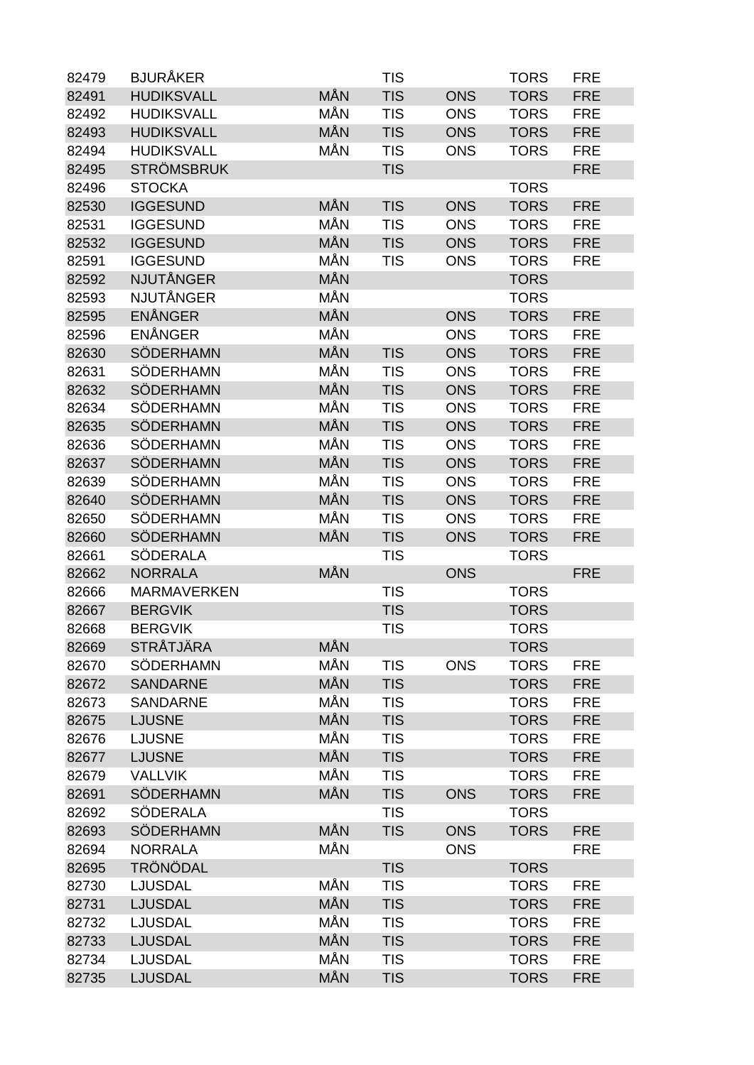| 82479 | <b>BJURÅKER</b>    |            | <b>TIS</b> |            | <b>TORS</b> | <b>FRE</b> |
|-------|--------------------|------------|------------|------------|-------------|------------|
| 82491 | <b>HUDIKSVALL</b>  | MÅN        | <b>TIS</b> | <b>ONS</b> | <b>TORS</b> | <b>FRE</b> |
| 82492 | <b>HUDIKSVALL</b>  | MÅN        | <b>TIS</b> | <b>ONS</b> | <b>TORS</b> | <b>FRE</b> |
| 82493 | <b>HUDIKSVALL</b>  | <b>MÅN</b> | <b>TIS</b> | <b>ONS</b> | <b>TORS</b> | <b>FRE</b> |
| 82494 | <b>HUDIKSVALL</b>  | MÅN        | <b>TIS</b> | <b>ONS</b> | <b>TORS</b> | <b>FRE</b> |
| 82495 | <b>STRÖMSBRUK</b>  |            | <b>TIS</b> |            |             | <b>FRE</b> |
| 82496 | <b>STOCKA</b>      |            |            |            | <b>TORS</b> |            |
| 82530 | <b>IGGESUND</b>    | MÅN        | <b>TIS</b> | <b>ONS</b> | <b>TORS</b> | <b>FRE</b> |
| 82531 | <b>IGGESUND</b>    | MÅN        | <b>TIS</b> | <b>ONS</b> | <b>TORS</b> | <b>FRE</b> |
| 82532 | <b>IGGESUND</b>    | <b>MÅN</b> | <b>TIS</b> | <b>ONS</b> | <b>TORS</b> | <b>FRE</b> |
| 82591 | <b>IGGESUND</b>    | MÅN        | <b>TIS</b> | <b>ONS</b> | <b>TORS</b> | <b>FRE</b> |
| 82592 | <b>NJUTÅNGER</b>   | <b>MÅN</b> |            |            | <b>TORS</b> |            |
| 82593 | <b>NJUTÅNGER</b>   | MÅN        |            |            | <b>TORS</b> |            |
| 82595 | <b>ENÅNGER</b>     | MÅN        |            | <b>ONS</b> | <b>TORS</b> | <b>FRE</b> |
| 82596 | <b>ENÅNGER</b>     | MÅN        |            | <b>ONS</b> | <b>TORS</b> | <b>FRE</b> |
| 82630 | <b>SÖDERHAMN</b>   | MÅN        | <b>TIS</b> | <b>ONS</b> | <b>TORS</b> | <b>FRE</b> |
| 82631 | <b>SÖDERHAMN</b>   | MÅN        | <b>TIS</b> | <b>ONS</b> | <b>TORS</b> | <b>FRE</b> |
| 82632 | <b>SÖDERHAMN</b>   | MÅN        | <b>TIS</b> | <b>ONS</b> | <b>TORS</b> | <b>FRE</b> |
| 82634 | SÖDERHAMN          | MÅN        | <b>TIS</b> | <b>ONS</b> | <b>TORS</b> | <b>FRE</b> |
| 82635 | <b>SÖDERHAMN</b>   | MÅN        | <b>TIS</b> | <b>ONS</b> | <b>TORS</b> | <b>FRE</b> |
| 82636 | <b>SÖDERHAMN</b>   | MÅN        | <b>TIS</b> | <b>ONS</b> | <b>TORS</b> | <b>FRE</b> |
| 82637 | <b>SÖDERHAMN</b>   | <b>MÅN</b> | <b>TIS</b> | <b>ONS</b> | <b>TORS</b> | <b>FRE</b> |
| 82639 | SÖDERHAMN          | MÅN        | <b>TIS</b> | <b>ONS</b> | <b>TORS</b> | <b>FRE</b> |
| 82640 | <b>SÖDERHAMN</b>   | <b>MÅN</b> | <b>TIS</b> | <b>ONS</b> | <b>TORS</b> | <b>FRE</b> |
| 82650 | SÖDERHAMN          | MÅN        | <b>TIS</b> | <b>ONS</b> | <b>TORS</b> | <b>FRE</b> |
| 82660 | <b>SÖDERHAMN</b>   | MÅN        | <b>TIS</b> | <b>ONS</b> | <b>TORS</b> | <b>FRE</b> |
| 82661 | <b>SÖDERALA</b>    |            | <b>TIS</b> |            | <b>TORS</b> |            |
| 82662 | <b>NORRALA</b>     | MÅN        |            | <b>ONS</b> |             | <b>FRE</b> |
| 82666 | <b>MARMAVERKEN</b> |            | <b>TIS</b> |            | <b>TORS</b> |            |
| 82667 | <b>BERGVIK</b>     |            | <b>TIS</b> |            | <b>TORS</b> |            |
| 82668 | <b>BERGVIK</b>     |            | <b>TIS</b> |            | <b>TORS</b> |            |
| 82669 | <b>STRÅTJÄRA</b>   | MÅN        |            |            | <b>TORS</b> |            |
| 82670 | SÖDERHAMN          | MÅN        | <b>TIS</b> | <b>ONS</b> | <b>TORS</b> | <b>FRE</b> |
| 82672 | <b>SANDARNE</b>    | <b>MÅN</b> | <b>TIS</b> |            | <b>TORS</b> | <b>FRE</b> |
| 82673 | <b>SANDARNE</b>    | MÅN        | <b>TIS</b> |            | <b>TORS</b> | <b>FRE</b> |
| 82675 | <b>LJUSNE</b>      | <b>MÅN</b> | <b>TIS</b> |            | <b>TORS</b> | <b>FRE</b> |
| 82676 | <b>LJUSNE</b>      | MÅN        | <b>TIS</b> |            | <b>TORS</b> | <b>FRE</b> |
| 82677 | <b>LJUSNE</b>      | <b>MÅN</b> | <b>TIS</b> |            | <b>TORS</b> | <b>FRE</b> |
| 82679 | <b>VALLVIK</b>     | MÅN        | <b>TIS</b> |            | <b>TORS</b> | <b>FRE</b> |
| 82691 | <b>SÖDERHAMN</b>   | MÅN        | <b>TIS</b> | <b>ONS</b> | <b>TORS</b> | <b>FRE</b> |
| 82692 | SÖDERALA           |            | <b>TIS</b> |            | <b>TORS</b> |            |
| 82693 | <b>SÖDERHAMN</b>   | <b>MÅN</b> | <b>TIS</b> | <b>ONS</b> | <b>TORS</b> | <b>FRE</b> |
| 82694 | <b>NORRALA</b>     | MÅN        |            | <b>ONS</b> |             | <b>FRE</b> |
| 82695 | <b>TRÖNÖDAL</b>    |            | <b>TIS</b> |            | <b>TORS</b> |            |
| 82730 | <b>LJUSDAL</b>     | MÅN        | <b>TIS</b> |            | <b>TORS</b> | <b>FRE</b> |
| 82731 | <b>LJUSDAL</b>     | <b>MÅN</b> | <b>TIS</b> |            | <b>TORS</b> | <b>FRE</b> |
| 82732 | <b>LJUSDAL</b>     | MÅN        | <b>TIS</b> |            | <b>TORS</b> | <b>FRE</b> |
| 82733 | <b>LJUSDAL</b>     | <b>MÅN</b> | <b>TIS</b> |            | <b>TORS</b> | <b>FRE</b> |
| 82734 | <b>LJUSDAL</b>     | MÅN        | <b>TIS</b> |            | <b>TORS</b> | <b>FRE</b> |
| 82735 | <b>LJUSDAL</b>     | MÅN        | <b>TIS</b> |            | <b>TORS</b> | <b>FRE</b> |